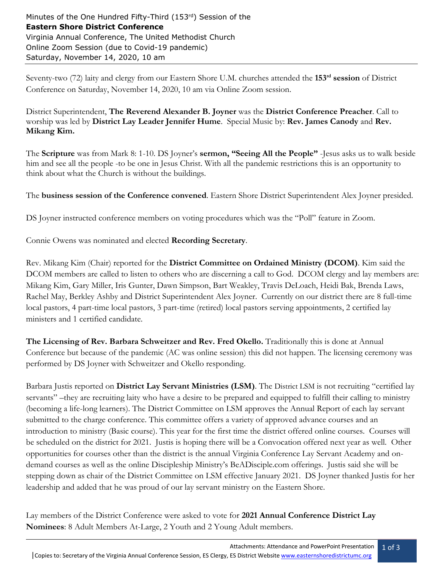Seventy-two (72) laity and clergy from our Eastern Shore U.M. churches attended the **153 rd session** of District Conference on Saturday, November 14, 2020, 10 am via Online Zoom session.

District Superintendent, **The Reverend Alexander B. Joyner** was the **District Conference Preacher**. Call to worship was led by **District Lay Leader Jennifer Hume**. Special Music by: **Rev. James Canody** and **Rev. Mikang Kim.**

The **Scripture** was from Mark 8: 1-10. DS Joyner's **sermon, "Seeing All the People"** -Jesus asks us to walk beside him and see all the people -to be one in Jesus Christ. With all the pandemic restrictions this is an opportunity to think about what the Church is without the buildings.

The **business session of the Conference convened**. Eastern Shore District Superintendent Alex Joyner presided.

DS Joyner instructed conference members on voting procedures which was the "Poll" feature in Zoom.

Connie Owens was nominated and elected **Recording Secretary**.

Rev. Mikang Kim (Chair) reported for the **District Committee on Ordained Ministry (DCOM)**. Kim said the DCOM members are called to listen to others who are discerning a call to God. DCOM clergy and lay members are: Mikang Kim, Gary Miller, Iris Gunter, Dawn Simpson, Bart Weakley, Travis DeLoach, Heidi Bak, Brenda Laws, Rachel May, Berkley Ashby and District Superintendent Alex Joyner. Currently on our district there are 8 full-time local pastors, 4 part-time local pastors, 3 part-time (retired) local pastors serving appointments, 2 certified lay ministers and 1 certified candidate.

**The Licensing of Rev. Barbara Schweitzer and Rev. Fred Okello.** Traditionally this is done at Annual Conference but because of the pandemic (AC was online session) this did not happen. The licensing ceremony was performed by DS Joyner with Schweitzer and Okello responding.

Barbara Justis reported on **District Lay Servant Ministries (LSM)**. The District LSM is not recruiting "certified lay servants" –they are recruiting laity who have a desire to be prepared and equipped to fulfill their calling to ministry (becoming a life-long learners). The District Committee on LSM approves the Annual Report of each lay servant submitted to the charge conference. This committee offers a variety of approved advance courses and an introduction to ministry (Basic course). This year for the first time the district offered online courses. Courses will be scheduled on the district for 2021. Justis is hoping there will be a Convocation offered next year as well. Other opportunities for courses other than the district is the annual Virginia Conference Lay Servant Academy and ondemand courses as well as the online Discipleship Ministry's BeADisciple.com offerings. Justis said she will be stepping down as chair of the District Committee on LSM effective January 2021. DS Joyner thanked Justis for her leadership and added that he was proud of our lay servant ministry on the Eastern Shore.

Lay members of the District Conference were asked to vote for **2021 Annual Conference District Lay Nominees**: 8 Adult Members At-Large, 2 Youth and 2 Young Adult members.